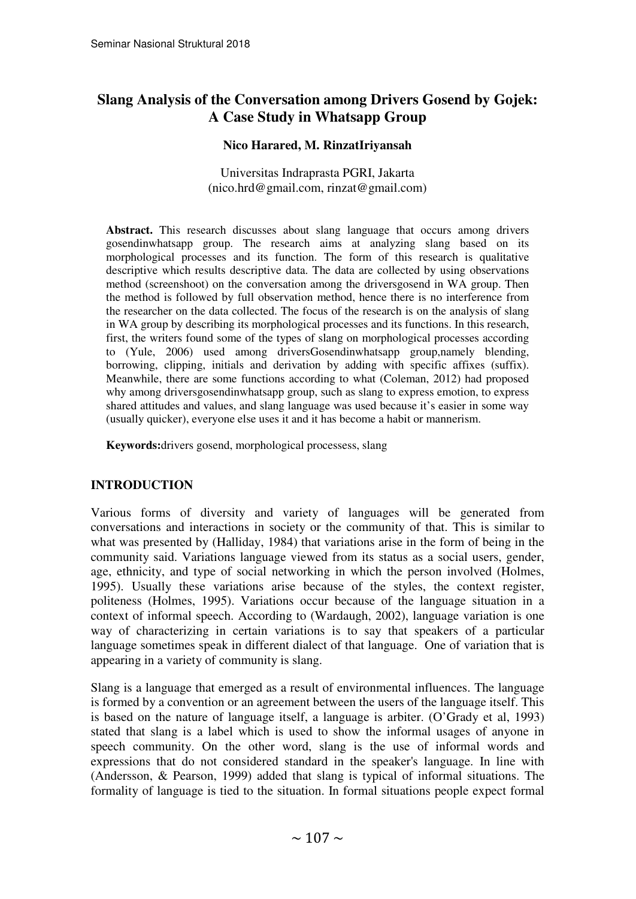# **Slang Analysis of the Conversation among Drivers Gosend by Gojek: A Case Study in Whatsapp Group**

#### **Nico Harared, M. RinzatIriyansah**

Universitas Indraprasta PGRI, Jakarta (nico.hrd@gmail.com, rinzat@gmail.com)

**Abstract.** This research discusses about slang language that occurs among drivers gosendinwhatsapp group. The research aims at analyzing slang based on its morphological processes and its function. The form of this research is qualitative descriptive which results descriptive data. The data are collected by using observations method (screenshoot) on the conversation among the driversgosend in WA group. Then the method is followed by full observation method, hence there is no interference from the researcher on the data collected. The focus of the research is on the analysis of slang in WA group by describing its morphological processes and its functions. In this research, first, the writers found some of the types of slang on morphological processes according to (Yule, 2006) used among driversGosendinwhatsapp group,namely blending, borrowing, clipping, initials and derivation by adding with specific affixes (suffix). Meanwhile, there are some functions according to what (Coleman, 2012) had proposed why among driversgosendinwhatsapp group, such as slang to express emotion, to express shared attitudes and values, and slang language was used because it's easier in some way (usually quicker), everyone else uses it and it has become a habit or mannerism.

**Keywords:**drivers gosend, morphological processess, slang

# **INTRODUCTION**

Various forms of diversity and variety of languages will be generated from conversations and interactions in society or the community of that. This is similar to what was presented by (Halliday, 1984) that variations arise in the form of being in the community said. Variations language viewed from its status as a social users, gender, age, ethnicity, and type of social networking in which the person involved (Holmes, 1995). Usually these variations arise because of the styles, the context register, politeness (Holmes, 1995). Variations occur because of the language situation in a context of informal speech. According to (Wardaugh, 2002), language variation is one way of characterizing in certain variations is to say that speakers of a particular language sometimes speak in different dialect of that language. One of variation that is appearing in a variety of community is slang.

Slang is a language that emerged as a result of environmental influences. The language is formed by a convention or an agreement between the users of the language itself. This is based on the nature of language itself, a language is arbiter. (O'Grady et al, 1993) stated that slang is a label which is used to show the informal usages of anyone in speech community. On the other word, slang is the use of informal words and expressions that do not considered standard in the speaker's language. In line with (Andersson, & Pearson, 1999) added that slang is typical of informal situations. The formality of language is tied to the situation. In formal situations people expect formal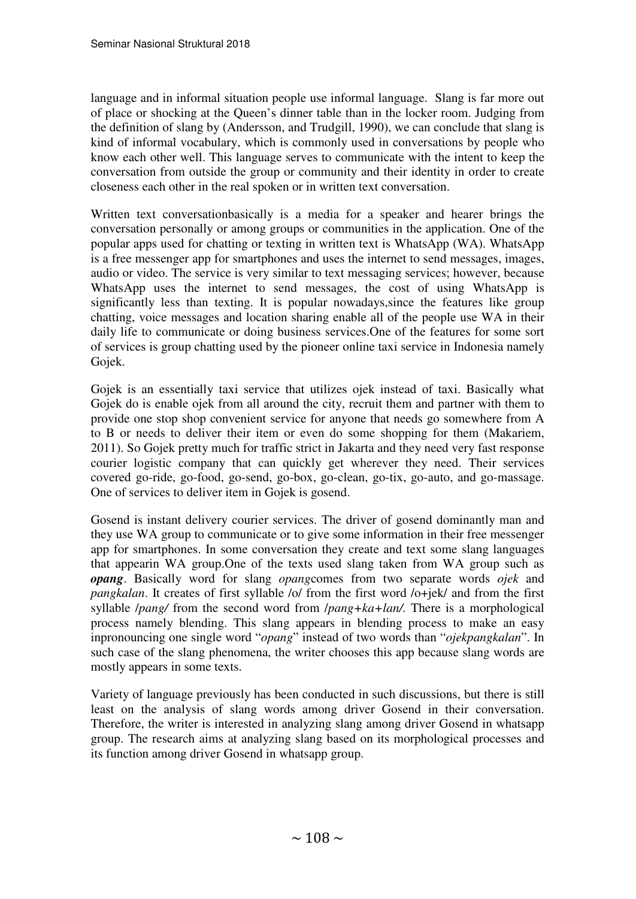language and in informal situation people use informal language. Slang is far more out of place or shocking at the Queen's dinner table than in the locker room. Judging from the definition of slang by (Andersson, and Trudgill, 1990), we can conclude that slang is kind of informal vocabulary, which is commonly used in conversations by people who know each other well. This language serves to communicate with the intent to keep the conversation from outside the group or community and their identity in order to create closeness each other in the real spoken or in written text conversation.

Written text conversationbasically is a media for a speaker and hearer brings the conversation personally or among groups or communities in the application. One of the popular apps used for chatting or texting in written text is WhatsApp (WA). WhatsApp is a free messenger app for smartphones and uses the internet to send messages, images, audio or video. The service is very similar to text messaging services; however, because WhatsApp uses the internet to send messages, the cost of using WhatsApp is significantly less than texting. It is popular nowadays,since the features like group chatting, voice messages and location sharing enable all of the people use WA in their daily life to communicate or doing business services.One of the features for some sort of services is group chatting used by the pioneer online taxi service in Indonesia namely Gojek.

Gojek is an essentially taxi service that utilizes ojek instead of taxi. Basically what Gojek do is enable ojek from all around the city, recruit them and partner with them to provide one stop shop convenient service for anyone that needs go somewhere from A to B or needs to deliver their item or even do some shopping for them (Makariem, 2011). So Gojek pretty much for traffic strict in Jakarta and they need very fast response courier logistic company that can quickly get wherever they need. Their services covered go-ride, go-food, go-send, go-box, go-clean, go-tix, go-auto, and go-massage. One of services to deliver item in Gojek is gosend.

Gosend is instant delivery courier services. The driver of gosend dominantly man and they use WA group to communicate or to give some information in their free messenger app for smartphones. In some conversation they create and text some slang languages that appearin WA group.One of the texts used slang taken from WA group such as *opang*. Basically word for slang *opang*comes from two separate words *ojek* and *pangkalan*. It creates of first syllable /o/ from the first word /o+jek/ and from the first syllable /*pang/* from the second word from /*pang+ka+lan/.* There is a morphological process namely blending. This slang appears in blending process to make an easy inpronouncing one single word "*opang*" instead of two words than "*ojekpangkalan*". In such case of the slang phenomena, the writer chooses this app because slang words are mostly appears in some texts.

Variety of language previously has been conducted in such discussions, but there is still least on the analysis of slang words among driver Gosend in their conversation. Therefore, the writer is interested in analyzing slang among driver Gosend in whatsapp group. The research aims at analyzing slang based on its morphological processes and its function among driver Gosend in whatsapp group.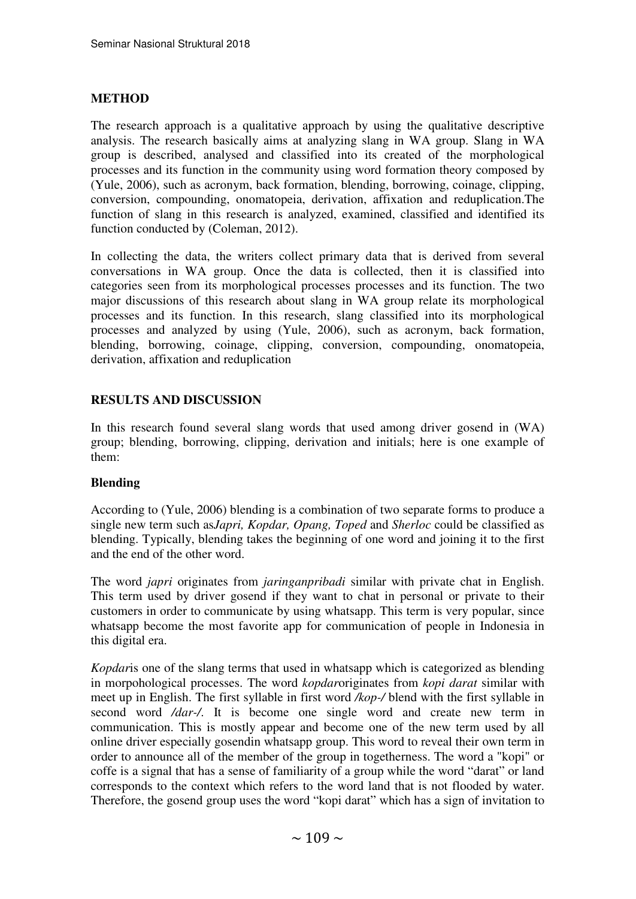# **METHOD**

The research approach is a qualitative approach by using the qualitative descriptive analysis. The research basically aims at analyzing slang in WA group. Slang in WA group is described, analysed and classified into its created of the morphological processes and its function in the community using word formation theory composed by (Yule, 2006), such as acronym, back formation, blending, borrowing, coinage, clipping, conversion, compounding, onomatopeia, derivation, affixation and reduplication.The function of slang in this research is analyzed, examined, classified and identified its function conducted by (Coleman, 2012).

In collecting the data, the writers collect primary data that is derived from several conversations in WA group. Once the data is collected, then it is classified into categories seen from its morphological processes processes and its function. The two major discussions of this research about slang in WA group relate its morphological processes and its function. In this research, slang classified into its morphological processes and analyzed by using (Yule, 2006), such as acronym, back formation, blending, borrowing, coinage, clipping, conversion, compounding, onomatopeia, derivation, affixation and reduplication

# **RESULTS AND DISCUSSION**

In this research found several slang words that used among driver gosend in (WA) group; blending, borrowing, clipping, derivation and initials; here is one example of them:

# **Blending**

According to (Yule, 2006) blending is a combination of two separate forms to produce a single new term such as*Japri, Kopdar, Opang, Toped* and *Sherloc* could be classified as blending. Typically, blending takes the beginning of one word and joining it to the first and the end of the other word.

The word *japri* originates from *jaringanpribadi* similar with private chat in English. This term used by driver gosend if they want to chat in personal or private to their customers in order to communicate by using whatsapp. This term is very popular, since whatsapp become the most favorite app for communication of people in Indonesia in this digital era.

*Kopdar*is one of the slang terms that used in whatsapp which is categorized as blending in morpohological processes. The word *kopdar*originates from *kopi darat* similar with meet up in English. The first syllable in first word */kop-/* blend with the first syllable in second word */dar-/*. It is become one single word and create new term in communication. This is mostly appear and become one of the new term used by all online driver especially gosendin whatsapp group. This word to reveal their own term in order to announce all of the member of the group in togetherness. The word a "kopi" or coffe is a signal that has a sense of familiarity of a group while the word "darat" or land corresponds to the context which refers to the word land that is not flooded by water. Therefore, the gosend group uses the word "kopi darat" which has a sign of invitation to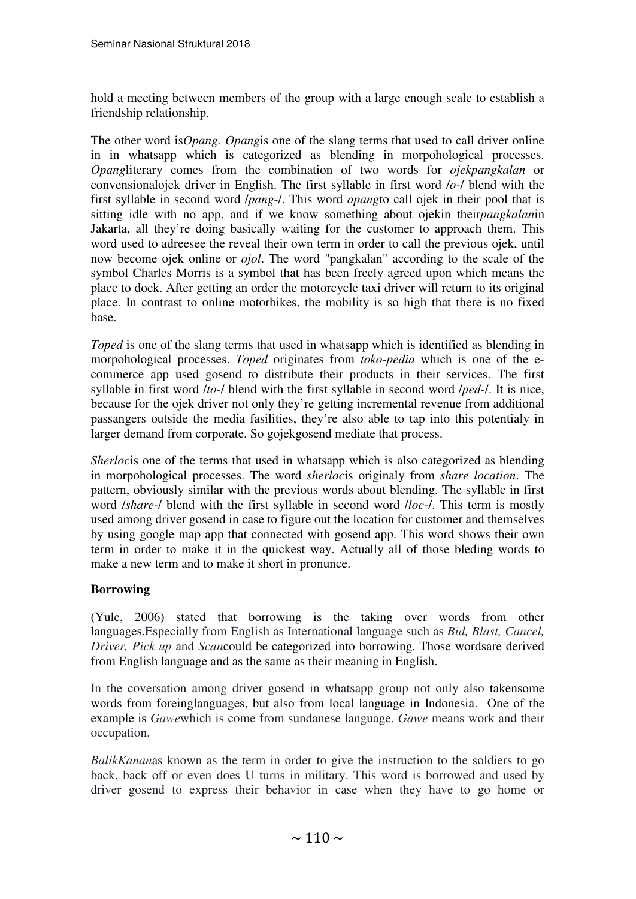hold a meeting between members of the group with a large enough scale to establish a friendship relationship.

The other word is*Opang. Opang*is one of the slang terms that used to call driver online in in whatsapp which is categorized as blending in morpohological processes. *Opang*literary comes from the combination of two words for *ojekpangkalan* or convensionalojek driver in English. The first syllable in first word /*o-*/ blend with the first syllable in second word /*pang*-/. This word *opang*to call ojek in their pool that is sitting idle with no app, and if we know something about ojekin their*pangkalan*in Jakarta, all they're doing basically waiting for the customer to approach them. This word used to adreesee the reveal their own term in order to call the previous ojek, until now become ojek online or *ojol*. The word "pangkalan" according to the scale of the symbol Charles Morris is a symbol that has been freely agreed upon which means the place to dock. After getting an order the motorcycle taxi driver will return to its original place. In contrast to online motorbikes, the mobility is so high that there is no fixed base.

*Toped* is one of the slang terms that used in whatsapp which is identified as blending in morpohological processes. *Toped* originates from *toko-pedia* which is one of the ecommerce app used gosend to distribute their products in their services. The first syllable in first word /*to-*/ blend with the first syllable in second word /*ped*-/. It is nice, because for the ojek driver not only they're getting incremental revenue from additional passangers outside the media fasilities, they're also able to tap into this potentialy in larger demand from corporate. So gojekgosend mediate that process.

*Sherlocis* one of the terms that used in whatsapp which is also categorized as blending in morpohological processes. The word *sherloc*is originaly from *share location*. The pattern, obviously similar with the previous words about blending. The syllable in first word /*share-*/ blend with the first syllable in second word /*loc*-/. This term is mostly used among driver gosend in case to figure out the location for customer and themselves by using google map app that connected with gosend app. This word shows their own term in order to make it in the quickest way. Actually all of those bleding words to make a new term and to make it short in pronunce.

# **Borrowing**

(Yule, 2006) stated that borrowing is the taking over words from other languages.Especially from English as International language such as *Bid, Blast, Cancel, Driver, Pick up* and *Scan*could be categorized into borrowing. Those wordsare derived from English language and as the same as their meaning in English.

In the coversation among driver gosend in whatsapp group not only also takensome words from foreinglanguages, but also from local language in Indonesia. One of the example is *Gawe*which is come from sundanese language. *Gawe* means work and their occupation.

*BalikKanan*as known as the term in order to give the instruction to the soldiers to go back, back off or even does U turns in military. This word is borrowed and used by driver gosend to express their behavior in case when they have to go home or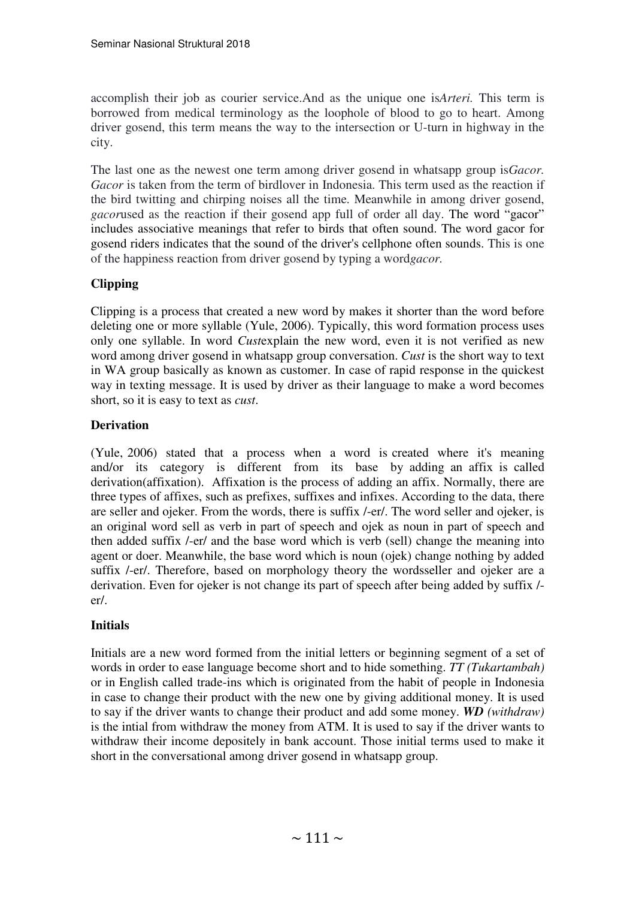accomplish their job as courier service.And as the unique one is*Arteri.* This term is borrowed from medical terminology as the loophole of blood to go to heart. Among driver gosend, this term means the way to the intersection or U-turn in highway in the city.

The last one as the newest one term among driver gosend in whatsapp group is*Gacor. Gacor* is taken from the term of birdlover in Indonesia. This term used as the reaction if the bird twitting and chirping noises all the time. Meanwhile in among driver gosend, *gacorused* as the reaction if their gosend app full of order all day. The word "gacor" includes associative meanings that refer to birds that often sound. The word gacor for gosend riders indicates that the sound of the driver's cellphone often sounds. This is one of the happiness reaction from driver gosend by typing a word*gacor.*

# **Clipping**

Clipping is a process that created a new word by makes it shorter than the word before deleting one or more syllable (Yule, 2006). Typically, this word formation process uses only one syllable. In word *Cust*explain the new word, even it is not verified as new word among driver gosend in whatsapp group conversation. *Cust* is the short way to text in WA group basically as known as customer. In case of rapid response in the quickest way in texting message. It is used by driver as their language to make a word becomes short, so it is easy to text as *cust*.

# **Derivation**

(Yule, 2006) stated that a process when a word is created where it's meaning and/or its category is different from its base by adding an affix is called derivation(affixation). Affixation is the process of adding an affix. Normally, there are three types of affixes, such as prefixes, suffixes and infixes. According to the data, there are seller and ojeker. From the words, there is suffix /-er/. The word seller and ojeker, is an original word sell as verb in part of speech and ojek as noun in part of speech and then added suffix /-er/ and the base word which is verb (sell) change the meaning into agent or doer. Meanwhile, the base word which is noun (ojek) change nothing by added suffix /-er/. Therefore, based on morphology theory the wordsseller and ojeker are a derivation. Even for ojeker is not change its part of speech after being added by suffix / er/.

# **Initials**

Initials are a new word formed from the initial letters or beginning segment of a set of words in order to ease language become short and to hide something. *TT (Tukartambah)*  or in English called trade-ins which is originated from the habit of people in Indonesia in case to change their product with the new one by giving additional money. It is used to say if the driver wants to change their product and add some money. *WD (withdraw)*  is the intial from withdraw the money from ATM. It is used to say if the driver wants to withdraw their income depositely in bank account. Those initial terms used to make it short in the conversational among driver gosend in whatsapp group.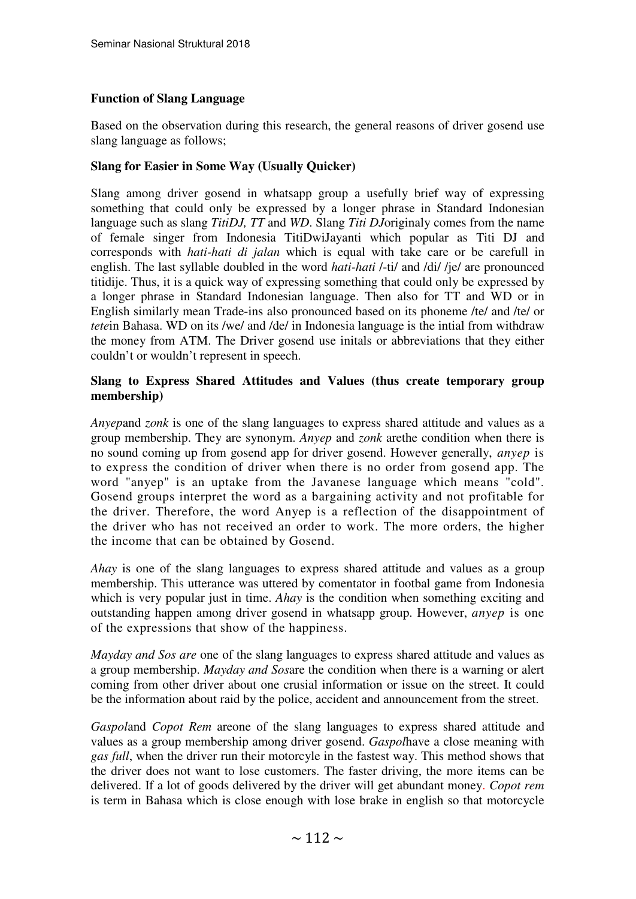# **Function of Slang Language**

Based on the observation during this research, the general reasons of driver gosend use slang language as follows;

# **Slang for Easier in Some Way (Usually Quicker)**

Slang among driver gosend in whatsapp group a usefully brief way of expressing something that could only be expressed by a longer phrase in Standard Indonesian language such as slang *TitiDJ, TT* and *WD*. Slang *Titi DJ*originaly comes from the name of female singer from Indonesia TitiDwiJayanti which popular as Titi DJ and corresponds with *hati-hati di jalan* which is equal with take care or be carefull in english. The last syllable doubled in the word *hati-hati* /-ti/ and /di/ /je/ are pronounced titidije. Thus, it is a quick way of expressing something that could only be expressed by a longer phrase in Standard Indonesian language. Then also for TT and WD or in English similarly mean Trade-ins also pronounced based on its phoneme /te/ and /te/ or *tete*in Bahasa. WD on its /we/ and /de/ in Indonesia language is the intial from withdraw the money from ATM. The Driver gosend use initals or abbreviations that they either couldn't or wouldn't represent in speech.

# **Slang to Express Shared Attitudes and Values (thus create temporary group membership)**

*Anyep*and *zonk* is one of the slang languages to express shared attitude and values as a group membership. They are synonym. *Anyep* and *zonk* arethe condition when there is no sound coming up from gosend app for driver gosend. However generally, *anyep* is to express the condition of driver when there is no order from gosend app. The word "anyep" is an uptake from the Javanese language which means "cold". Gosend groups interpret the word as a bargaining activity and not profitable for the driver. Therefore, the word Anyep is a reflection of the disappointment of the driver who has not received an order to work. The more orders, the higher the income that can be obtained by Gosend.

*Ahay* is one of the slang languages to express shared attitude and values as a group membership. This utterance was uttered by comentator in footbal game from Indonesia which is very popular just in time. *Ahay* is the condition when something exciting and outstanding happen among driver gosend in whatsapp group. However, *anyep* is one of the expressions that show of the happiness.

*Mayday and Sos are* one of the slang languages to express shared attitude and values as a group membership. *Mayday and Sos*are the condition when there is a warning or alert coming from other driver about one crusial information or issue on the street. It could be the information about raid by the police, accident and announcement from the street.

*Gaspol*and *Copot Rem* areone of the slang languages to express shared attitude and values as a group membership among driver gosend. *Gaspol*have a close meaning with *gas full*, when the driver run their motorcyle in the fastest way. This method shows that the driver does not want to lose customers. The faster driving, the more items can be delivered. If a lot of goods delivered by the driver will get abundant money. *Copot rem* is term in Bahasa which is close enough with lose brake in english so that motorcycle